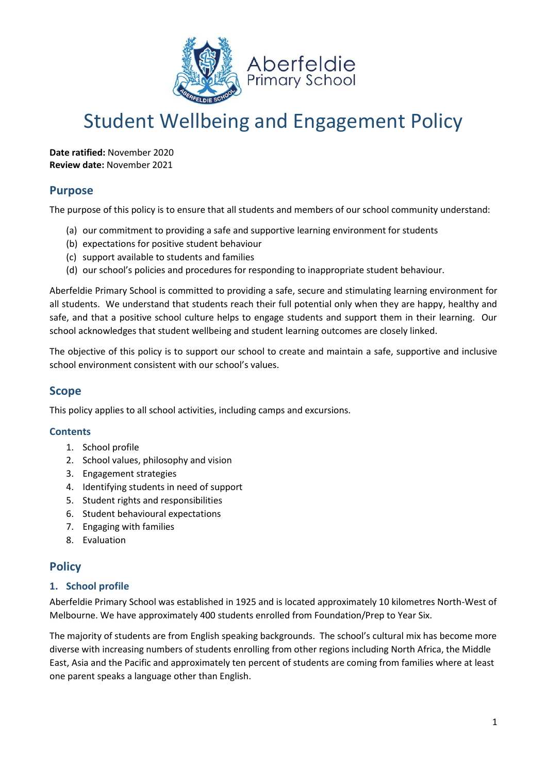

# Student Wellbeing and Engagement Policy

**Date ratified:** November 2020 **Review date:** November 2021

# **Purpose**

The purpose of this policy is to ensure that all students and members of our school community understand:

- (a) our commitment to providing a safe and supportive learning environment for students
- (b) expectations for positive student behaviour
- (c) support available to students and families
- (d) our school's policies and procedures for responding to inappropriate student behaviour.

Aberfeldie Primary School is committed to providing a safe, secure and stimulating learning environment for all students. We understand that students reach their full potential only when they are happy, healthy and safe, and that a positive school culture helps to engage students and support them in their learning. Our school acknowledges that student wellbeing and student learning outcomes are closely linked.

The objective of this policy is to support our school to create and maintain a safe, supportive and inclusive school environment consistent with our school's values.

# **Scope**

This policy applies to all school activities, including camps and excursions.

### **Contents**

- 1. School profile
- 2. School values, philosophy and vision
- 3. Engagement strategies
- 4. Identifying students in need of support
- 5. Student rights and responsibilities
- 6. Student behavioural expectations
- 7. Engaging with families
- 8. Evaluation

# **Policy**

### **1. School profile**

Aberfeldie Primary School was established in 1925 and is located approximately 10 kilometres North-West of Melbourne. We have approximately 400 students enrolled from Foundation/Prep to Year Six.

The majority of students are from English speaking backgrounds. The school's cultural mix has become more diverse with increasing numbers of students enrolling from other regions including North Africa, the Middle East, Asia and the Pacific and approximately ten percent of students are coming from families where at least one parent speaks a language other than English.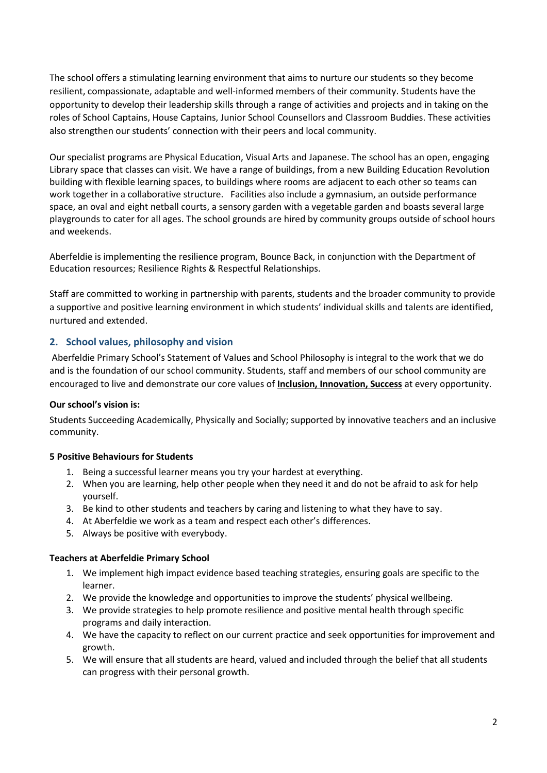The school offers a stimulating learning environment that aims to nurture our students so they become resilient, compassionate, adaptable and well-informed members of their community. Students have the opportunity to develop their leadership skills through a range of activities and projects and in taking on the roles of School Captains, House Captains, Junior School Counsellors and Classroom Buddies. These activities also strengthen our students' connection with their peers and local community.

Our specialist programs are Physical Education, Visual Arts and Japanese. The school has an open, engaging Library space that classes can visit. We have a range of buildings, from a new Building Education Revolution building with flexible learning spaces, to buildings where rooms are adjacent to each other so teams can work together in a collaborative structure. Facilities also include a gymnasium, an outside performance space, an oval and eight netball courts, a sensory garden with a vegetable garden and boasts several large playgrounds to cater for all ages. The school grounds are hired by community groups outside of school hours and weekends.

Aberfeldie is implementing the resilience program, Bounce Back, in conjunction with the Department of Education resources; Resilience Rights & Respectful Relationships.

Staff are committed to working in partnership with parents, students and the broader community to provide a supportive and positive learning environment in which students' individual skills and talents are identified, nurtured and extended.

### **2. School values, philosophy and vision**

Aberfeldie Primary School's Statement of Values and School Philosophy is integral to the work that we do and is the foundation of our school community. Students, staff and members of our school community are encouraged to live and demonstrate our core values of **Inclusion, Innovation, Success** at every opportunity.

#### **Our school's vision is:**

Students Succeeding Academically, Physically and Socially; supported by innovative teachers and an inclusive community.

#### **5 Positive Behaviours for Students**

- 1. Being a successful learner means you try your hardest at everything.
- 2. When you are learning, help other people when they need it and do not be afraid to ask for help yourself.
- 3. Be kind to other students and teachers by caring and listening to what they have to say.
- 4. At Aberfeldie we work as a team and respect each other's differences.
- 5. Always be positive with everybody.

#### **Teachers at Aberfeldie Primary School**

- 1. We implement high impact evidence based teaching strategies, ensuring goals are specific to the learner.
- 2. We provide the knowledge and opportunities to improve the students' physical wellbeing.
- 3. We provide strategies to help promote resilience and positive mental health through specific programs and daily interaction.
- 4. We have the capacity to reflect on our current practice and seek opportunities for improvement and growth.
- 5. We will ensure that all students are heard, valued and included through the belief that all students can progress with their personal growth.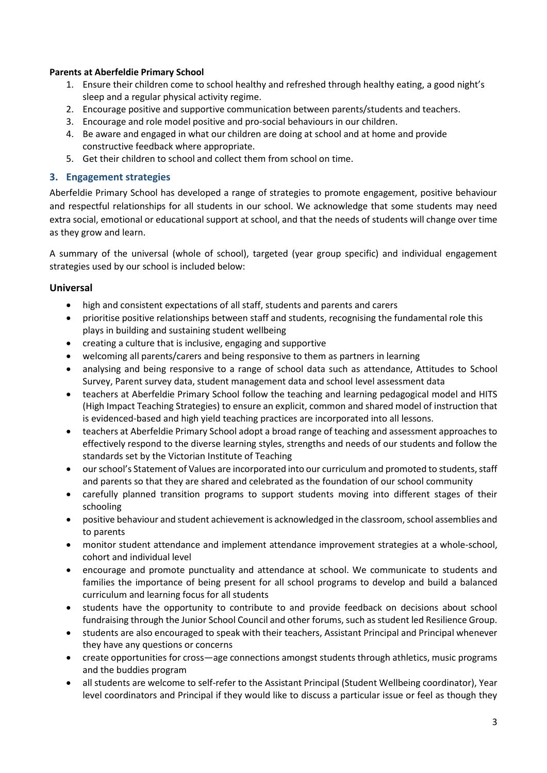### **Parents at Aberfeldie Primary School**

- 1. Ensure their children come to school healthy and refreshed through healthy eating, a good night's sleep and a regular physical activity regime.
- 2. Encourage positive and supportive communication between parents/students and teachers.
- 3. Encourage and role model positive and pro-social behaviours in our children.
- 4. Be aware and engaged in what our children are doing at school and at home and provide constructive feedback where appropriate.
- 5. Get their children to school and collect them from school on time.

## **3. Engagement strategies**

Aberfeldie Primary School has developed a range of strategies to promote engagement, positive behaviour and respectful relationships for all students in our school. We acknowledge that some students may need extra social, emotional or educational support at school, and that the needs of students will change over time as they grow and learn.

A summary of the universal (whole of school), targeted (year group specific) and individual engagement strategies used by our school is included below:

### **Universal**

- high and consistent expectations of all staff, students and parents and carers
- prioritise positive relationships between staff and students, recognising the fundamental role this plays in building and sustaining student wellbeing
- creating a culture that is inclusive, engaging and supportive
- welcoming all parents/carers and being responsive to them as partners in learning
- analysing and being responsive to a range of school data such as attendance, Attitudes to School Survey, Parent survey data, student management data and school level assessment data
- teachers at Aberfeldie Primary School follow the teaching and learning pedagogical model and HITS (High Impact Teaching Strategies) to ensure an explicit, common and shared model of instruction that is evidenced-based and high yield teaching practices are incorporated into all lessons.
- teachers at Aberfeldie Primary School adopt a broad range of teaching and assessment approaches to effectively respond to the diverse learning styles, strengths and needs of our students and follow the standards set by the Victorian Institute of Teaching
- our school's Statement of Values are incorporated into our curriculum and promoted to students, staff and parents so that they are shared and celebrated as the foundation of our school community
- carefully planned transition programs to support students moving into different stages of their schooling
- positive behaviour and student achievement is acknowledged in the classroom, school assemblies and to parents
- monitor student attendance and implement attendance improvement strategies at a whole-school, cohort and individual level
- encourage and promote punctuality and attendance at school. We communicate to students and families the importance of being present for all school programs to develop and build a balanced curriculum and learning focus for all students
- students have the opportunity to contribute to and provide feedback on decisions about school fundraising through the Junior School Council and other forums, such as student led Resilience Group.
- students are also encouraged to speak with their teachers, Assistant Principal and Principal whenever they have any questions or concerns
- create opportunities for cross—age connections amongst students through athletics, music programs and the buddies program
- all students are welcome to self-refer to the Assistant Principal (Student Wellbeing coordinator), Year level coordinators and Principal if they would like to discuss a particular issue or feel as though they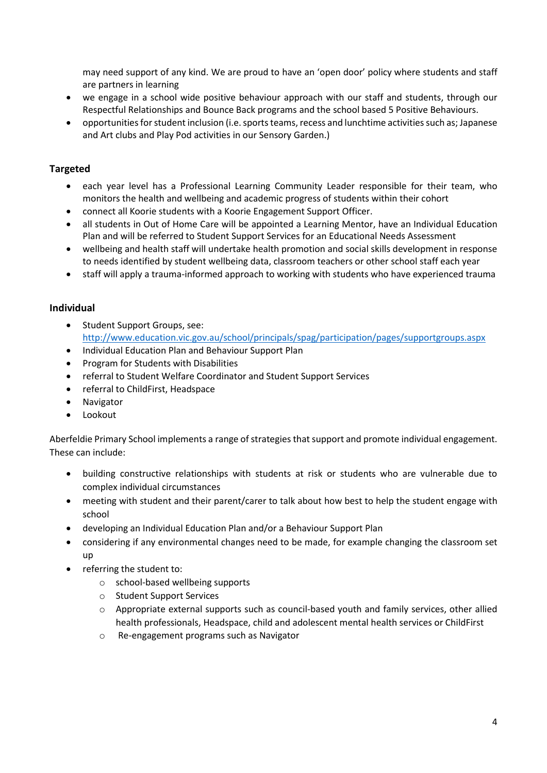may need support of any kind. We are proud to have an 'open door' policy where students and staff are partners in learning

- we engage in a school wide positive behaviour approach with our staff and students, through our Respectful Relationships and Bounce Back programs and the school based 5 Positive Behaviours.
- opportunities for student inclusion (i.e. sports teams, recess and lunchtime activities such as; Japanese and Art clubs and Play Pod activities in our Sensory Garden.)

# **Targeted**

- each year level has a Professional Learning Community Leader responsible for their team, who monitors the health and wellbeing and academic progress of students within their cohort
- connect all Koorie students with a Koorie Engagement Support Officer.
- all students in Out of Home Care will be appointed a Learning Mentor, have an Individual Education Plan and will be referred to Student Support Services for an Educational Needs Assessment
- wellbeing and health staff will undertake health promotion and social skills development in response to needs identified by student wellbeing data, classroom teachers or other school staff each year
- staff will apply a trauma-informed approach to working with students who have experienced trauma

### **Individual**

- Student Support Groups, see: <http://www.education.vic.gov.au/school/principals/spag/participation/pages/supportgroups.aspx>
- Individual Education Plan and Behaviour Support Plan
- Program for Students with Disabilities
- referral to Student Welfare Coordinator and Student Support Services
- referral to ChildFirst, Headspace
- Navigator
- **Lookout**

Aberfeldie Primary School implements a range of strategies that support and promote individual engagement. These can include:

- building constructive relationships with students at risk or students who are vulnerable due to complex individual circumstances
- meeting with student and their parent/carer to talk about how best to help the student engage with school
- developing an Individual Education Plan and/or a Behaviour Support Plan
- considering if any environmental changes need to be made, for example changing the classroom set up
- referring the student to:
	- o school-based wellbeing supports
	- o Student Support Services
	- o Appropriate external supports such as council-based youth and family services, other allied health professionals, Headspace, child and adolescent mental health services or ChildFirst
	- o Re-engagement programs such as Navigator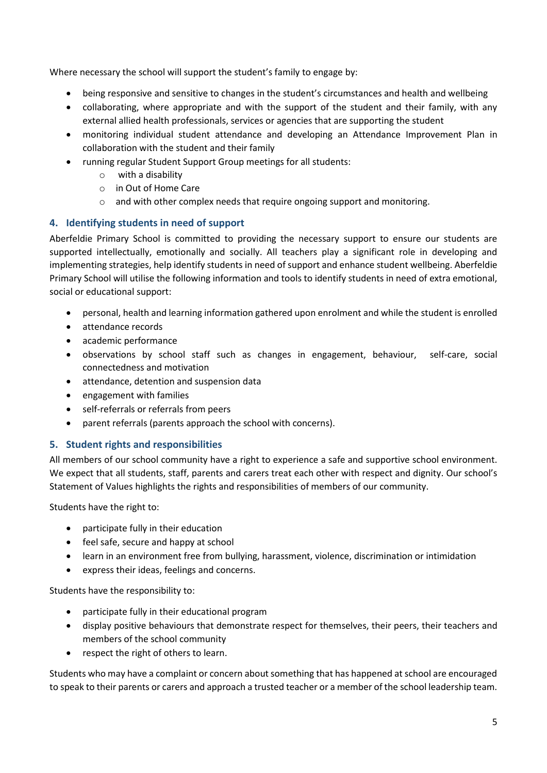Where necessary the school will support the student's family to engage by:

- being responsive and sensitive to changes in the student's circumstances and health and wellbeing
- collaborating, where appropriate and with the support of the student and their family, with any external allied health professionals, services or agencies that are supporting the student
- monitoring individual student attendance and developing an Attendance Improvement Plan in collaboration with the student and their family
- running regular Student Support Group meetings for all students:
	- o with a disability
	- o in Out of Home Care
	- o and with other complex needs that require ongoing support and monitoring.

# **4. Identifying students in need of support**

Aberfeldie Primary School is committed to providing the necessary support to ensure our students are supported intellectually, emotionally and socially. All teachers play a significant role in developing and implementing strategies, help identify students in need of support and enhance student wellbeing. Aberfeldie Primary School will utilise the following information and tools to identify students in need of extra emotional, social or educational support:

- personal, health and learning information gathered upon enrolment and while the student is enrolled
- attendance records
- academic performance
- observations by school staff such as changes in engagement, behaviour, self-care, social connectedness and motivation
- attendance, detention and suspension data
- engagement with families
- self-referrals or referrals from peers
- parent referrals (parents approach the school with concerns).

# **5. Student rights and responsibilities**

All members of our school community have a right to experience a safe and supportive school environment. We expect that all students, staff, parents and carers treat each other with respect and dignity. Our school's Statement of Values highlights the rights and responsibilities of members of our community.

Students have the right to:

- participate fully in their education
- feel safe, secure and happy at school
- learn in an environment free from bullying, harassment, violence, discrimination or intimidation
- express their ideas, feelings and concerns.

Students have the responsibility to:

- participate fully in their educational program
- display positive behaviours that demonstrate respect for themselves, their peers, their teachers and members of the school community
- respect the right of others to learn.

Students who may have a complaint or concern about something that has happened at school are encouraged to speak to their parents or carers and approach a trusted teacher or a member of the school leadership team.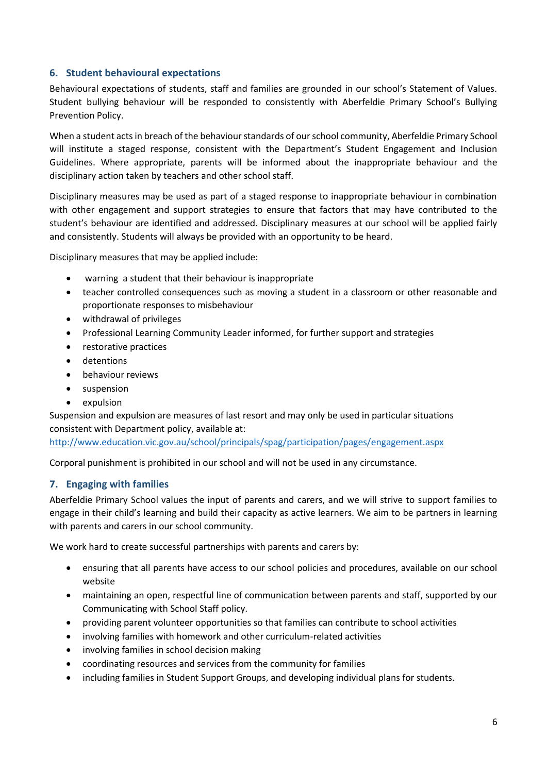## **6. Student behavioural expectations**

Behavioural expectations of students, staff and families are grounded in our school's Statement of Values. Student bullying behaviour will be responded to consistently with Aberfeldie Primary School's Bullying Prevention Policy.

When a student acts in breach of the behaviour standards of our school community, Aberfeldie Primary School will institute a staged response, consistent with the Department's Student Engagement and Inclusion Guidelines. Where appropriate, parents will be informed about the inappropriate behaviour and the disciplinary action taken by teachers and other school staff.

Disciplinary measures may be used as part of a staged response to inappropriate behaviour in combination with other engagement and support strategies to ensure that factors that may have contributed to the student's behaviour are identified and addressed. Disciplinary measures at our school will be applied fairly and consistently. Students will always be provided with an opportunity to be heard.

Disciplinary measures that may be applied include:

- warning a student that their behaviour is inappropriate
- teacher controlled consequences such as moving a student in a classroom or other reasonable and proportionate responses to misbehaviour
- withdrawal of privileges
- Professional Learning Community Leader informed, for further support and strategies
- restorative practices
- detentions
- behaviour reviews
- suspension
- expulsion

Suspension and expulsion are measures of last resort and may only be used in particular situations consistent with Department policy, available at:

<http://www.education.vic.gov.au/school/principals/spag/participation/pages/engagement.aspx>

Corporal punishment is prohibited in our school and will not be used in any circumstance.

### **7. Engaging with families**

Aberfeldie Primary School values the input of parents and carers, and we will strive to support families to engage in their child's learning and build their capacity as active learners. We aim to be partners in learning with parents and carers in our school community.

We work hard to create successful partnerships with parents and carers by:

- ensuring that all parents have access to our school policies and procedures, available on our school website
- maintaining an open, respectful line of communication between parents and staff, supported by our Communicating with School Staff policy.
- providing parent volunteer opportunities so that families can contribute to school activities
- involving families with homework and other curriculum-related activities
- involving families in school decision making
- coordinating resources and services from the community for families
- including families in Student Support Groups, and developing individual plans for students.